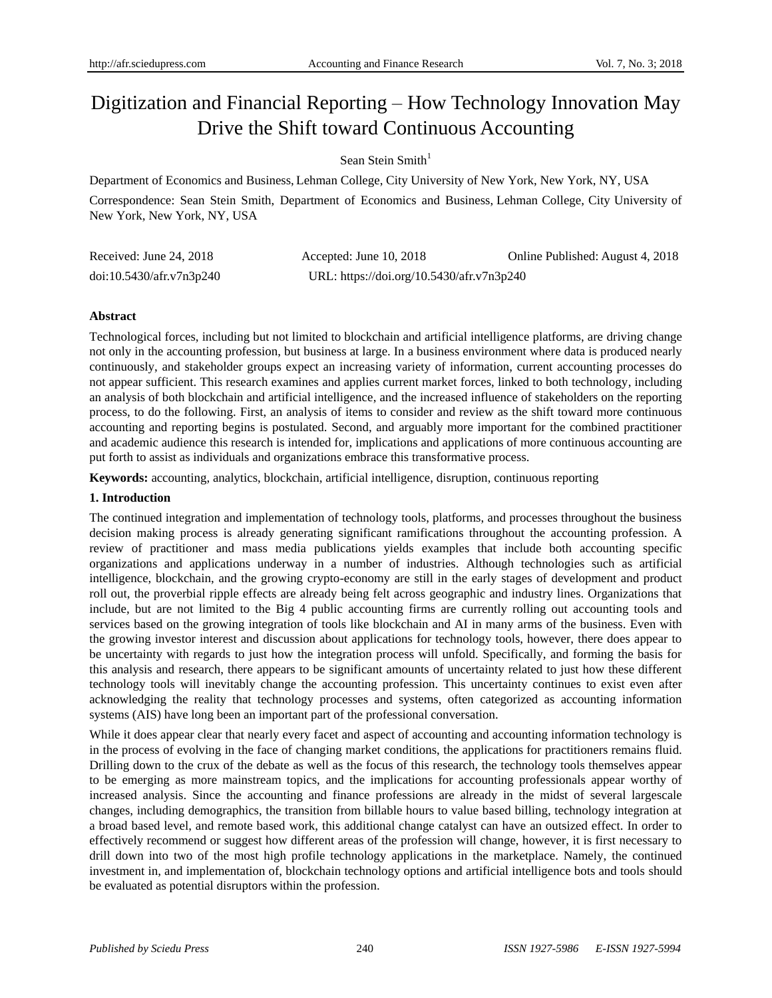# Digitization and Financial Reporting – How Technology Innovation May Drive the Shift toward Continuous Accounting

Sean Stein Smith $1$ 

Department of Economics and Business, Lehman College, City University of New York, New York, NY, USA

Correspondence: Sean Stein Smith, Department of Economics and Business, Lehman College, City University of New York, New York, NY, USA

| Received: June 24, 2018  | Accepted: June 10, 2018                   | Online Published: August 4, 2018 |
|--------------------------|-------------------------------------------|----------------------------------|
| doi:10.5430/afr.v7n3p240 | URL: https://doi.org/10.5430/afr.v7n3p240 |                                  |

## **Abstract**

Technological forces, including but not limited to blockchain and artificial intelligence platforms, are driving change not only in the accounting profession, but business at large. In a business environment where data is produced nearly continuously, and stakeholder groups expect an increasing variety of information, current accounting processes do not appear sufficient. This research examines and applies current market forces, linked to both technology, including an analysis of both blockchain and artificial intelligence, and the increased influence of stakeholders on the reporting process, to do the following. First, an analysis of items to consider and review as the shift toward more continuous accounting and reporting begins is postulated. Second, and arguably more important for the combined practitioner and academic audience this research is intended for, implications and applications of more continuous accounting are put forth to assist as individuals and organizations embrace this transformative process.

**Keywords:** accounting, analytics, blockchain, artificial intelligence, disruption, continuous reporting

## **1. Introduction**

The continued integration and implementation of technology tools, platforms, and processes throughout the business decision making process is already generating significant ramifications throughout the accounting profession. A review of practitioner and mass media publications yields examples that include both accounting specific organizations and applications underway in a number of industries. Although technologies such as artificial intelligence, blockchain, and the growing crypto-economy are still in the early stages of development and product roll out, the proverbial ripple effects are already being felt across geographic and industry lines. Organizations that include, but are not limited to the Big 4 public accounting firms are currently rolling out accounting tools and services based on the growing integration of tools like blockchain and AI in many arms of the business. Even with the growing investor interest and discussion about applications for technology tools, however, there does appear to be uncertainty with regards to just how the integration process will unfold. Specifically, and forming the basis for this analysis and research, there appears to be significant amounts of uncertainty related to just how these different technology tools will inevitably change the accounting profession. This uncertainty continues to exist even after acknowledging the reality that technology processes and systems, often categorized as accounting information systems (AIS) have long been an important part of the professional conversation.

While it does appear clear that nearly every facet and aspect of accounting and accounting information technology is in the process of evolving in the face of changing market conditions, the applications for practitioners remains fluid. Drilling down to the crux of the debate as well as the focus of this research, the technology tools themselves appear to be emerging as more mainstream topics, and the implications for accounting professionals appear worthy of increased analysis. Since the accounting and finance professions are already in the midst of several largescale changes, including demographics, the transition from billable hours to value based billing, technology integration at a broad based level, and remote based work, this additional change catalyst can have an outsized effect. In order to effectively recommend or suggest how different areas of the profession will change, however, it is first necessary to drill down into two of the most high profile technology applications in the marketplace. Namely, the continued investment in, and implementation of, blockchain technology options and artificial intelligence bots and tools should be evaluated as potential disruptors within the profession.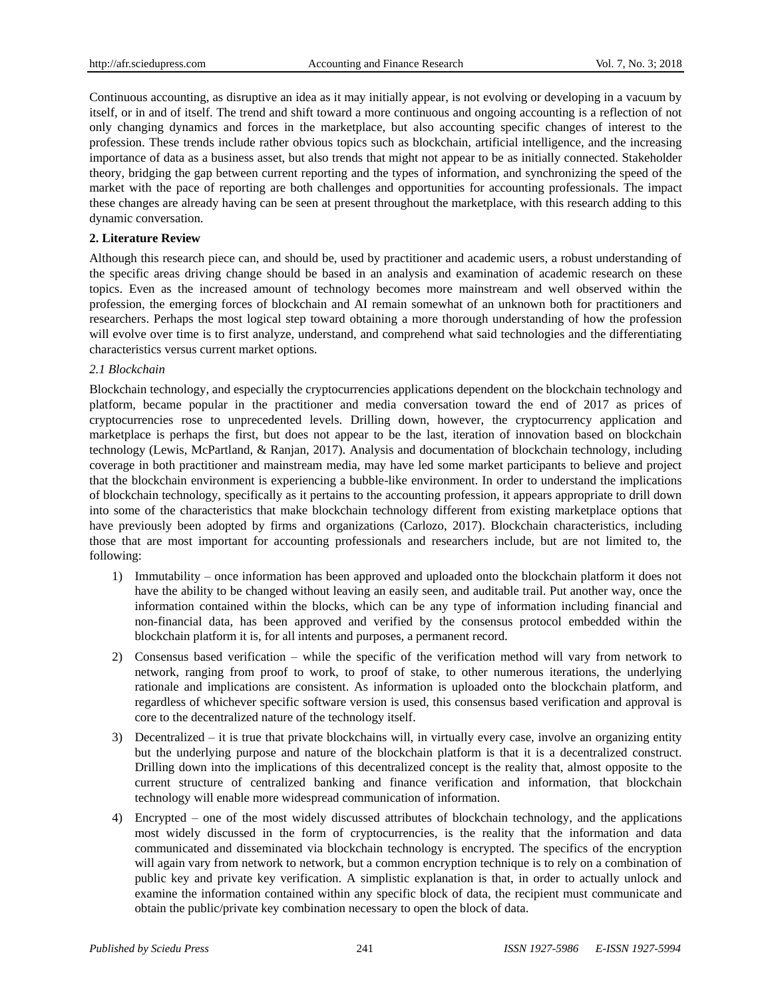Continuous accounting, as disruptive an idea as it may initially appear, is not evolving or developing in a vacuum by itself, or in and of itself. The trend and shift toward a more continuous and ongoing accounting is a reflection of not only changing dynamics and forces in the marketplace, but also accounting specific changes of interest to the profession. These trends include rather obvious topics such as blockchain, artificial intelligence, and the increasing importance of data as a business asset, but also trends that might not appear to be as initially connected. Stakeholder theory, bridging the gap between current reporting and the types of information, and synchronizing the speed of the market with the pace of reporting are both challenges and opportunities for accounting professionals. The impact these changes are already having can be seen at present throughout the marketplace, with this research adding to this dynamic conversation.

#### **2. Literature Review**

Although this research piece can, and should be, used by practitioner and academic users, a robust understanding of the specific areas driving change should be based in an analysis and examination of academic research on these topics. Even as the increased amount of technology becomes more mainstream and well observed within the profession, the emerging forces of blockchain and AI remain somewhat of an unknown both for practitioners and researchers. Perhaps the most logical step toward obtaining a more thorough understanding of how the profession will evolve over time is to first analyze, understand, and comprehend what said technologies and the differentiating characteristics versus current market options.

#### *2.1 Blockchain*

Blockchain technology, and especially the cryptocurrencies applications dependent on the blockchain technology and platform, became popular in the practitioner and media conversation toward the end of 2017 as prices of cryptocurrencies rose to unprecedented levels. Drilling down, however, the cryptocurrency application and marketplace is perhaps the first, but does not appear to be the last, iteration of innovation based on blockchain technology (Lewis, McPartland, & Ranjan, 2017). Analysis and documentation of blockchain technology, including coverage in both practitioner and mainstream media, may have led some market participants to believe and project that the blockchain environment is experiencing a bubble-like environment. In order to understand the implications of blockchain technology, specifically as it pertains to the accounting profession, it appears appropriate to drill down into some of the characteristics that make blockchain technology different from existing marketplace options that have previously been adopted by firms and organizations (Carlozo, 2017). Blockchain characteristics, including those that are most important for accounting professionals and researchers include, but are not limited to, the following:

- 1) Immutability once information has been approved and uploaded onto the blockchain platform it does not have the ability to be changed without leaving an easily seen, and auditable trail. Put another way, once the information contained within the blocks, which can be any type of information including financial and non-financial data, has been approved and verified by the consensus protocol embedded within the blockchain platform it is, for all intents and purposes, a permanent record.
- 2) Consensus based verification while the specific of the verification method will vary from network to network, ranging from proof to work, to proof of stake, to other numerous iterations, the underlying rationale and implications are consistent. As information is uploaded onto the blockchain platform, and regardless of whichever specific software version is used, this consensus based verification and approval is core to the decentralized nature of the technology itself.
- 3) Decentralized it is true that private blockchains will, in virtually every case, involve an organizing entity but the underlying purpose and nature of the blockchain platform is that it is a decentralized construct. Drilling down into the implications of this decentralized concept is the reality that, almost opposite to the current structure of centralized banking and finance verification and information, that blockchain technology will enable more widespread communication of information.
- 4) Encrypted one of the most widely discussed attributes of blockchain technology, and the applications most widely discussed in the form of cryptocurrencies, is the reality that the information and data communicated and disseminated via blockchain technology is encrypted. The specifics of the encryption will again vary from network to network, but a common encryption technique is to rely on a combination of public key and private key verification. A simplistic explanation is that, in order to actually unlock and examine the information contained within any specific block of data, the recipient must communicate and obtain the public/private key combination necessary to open the block of data.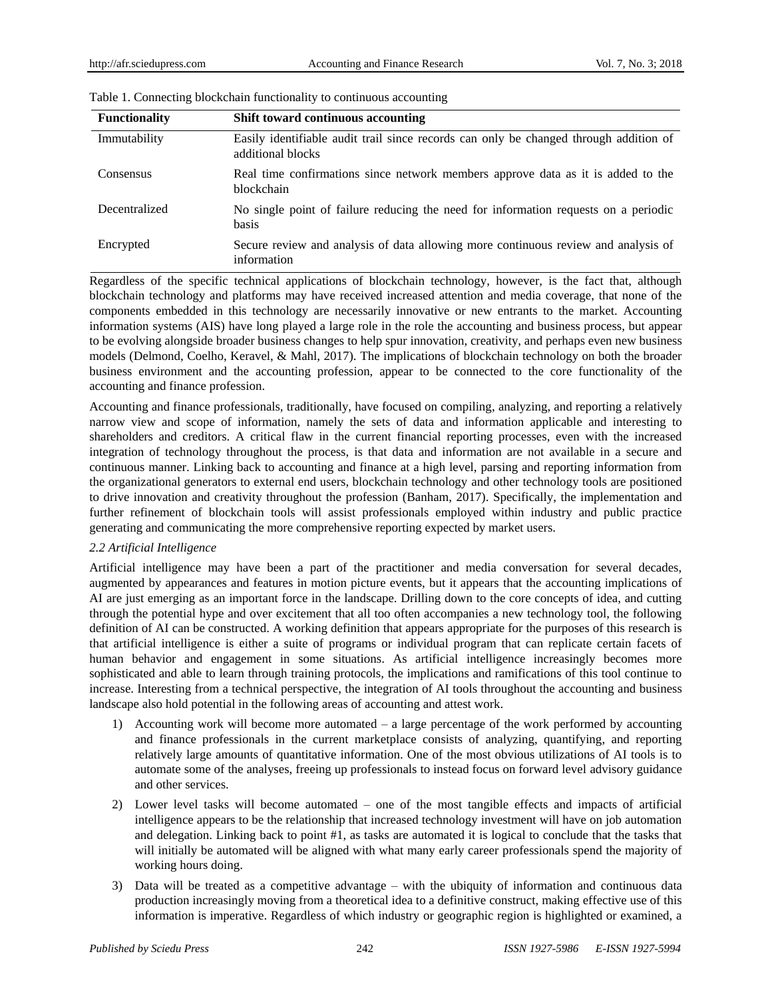| <b>Functionality</b> | <b>Shift toward continuous accounting</b>                                                                  |
|----------------------|------------------------------------------------------------------------------------------------------------|
| Immutability         | Easily identifiable audit trail since records can only be changed through addition of<br>additional blocks |
| Consensus            | Real time confirmations since network members approve data as it is added to the<br><b>blockchain</b>      |
| Decentralized        | No single point of failure reducing the need for information requests on a periodic<br>basis               |
| Encrypted            | Secure review and analysis of data allowing more continuous review and analysis of<br>information          |

Table 1. Connecting blockchain functionality to continuous accounting

Regardless of the specific technical applications of blockchain technology, however, is the fact that, although blockchain technology and platforms may have received increased attention and media coverage, that none of the components embedded in this technology are necessarily innovative or new entrants to the market. Accounting information systems (AIS) have long played a large role in the role the accounting and business process, but appear to be evolving alongside broader business changes to help spur innovation, creativity, and perhaps even new business models (Delmond, Coelho, Keravel, & Mahl, 2017). The implications of blockchain technology on both the broader business environment and the accounting profession, appear to be connected to the core functionality of the accounting and finance profession.

Accounting and finance professionals, traditionally, have focused on compiling, analyzing, and reporting a relatively narrow view and scope of information, namely the sets of data and information applicable and interesting to shareholders and creditors. A critical flaw in the current financial reporting processes, even with the increased integration of technology throughout the process, is that data and information are not available in a secure and continuous manner. Linking back to accounting and finance at a high level, parsing and reporting information from the organizational generators to external end users, blockchain technology and other technology tools are positioned to drive innovation and creativity throughout the profession (Banham, 2017). Specifically, the implementation and further refinement of blockchain tools will assist professionals employed within industry and public practice generating and communicating the more comprehensive reporting expected by market users.

#### *2.2 Artificial Intelligence*

Artificial intelligence may have been a part of the practitioner and media conversation for several decades, augmented by appearances and features in motion picture events, but it appears that the accounting implications of AI are just emerging as an important force in the landscape. Drilling down to the core concepts of idea, and cutting through the potential hype and over excitement that all too often accompanies a new technology tool, the following definition of AI can be constructed. A working definition that appears appropriate for the purposes of this research is that artificial intelligence is either a suite of programs or individual program that can replicate certain facets of human behavior and engagement in some situations. As artificial intelligence increasingly becomes more sophisticated and able to learn through training protocols, the implications and ramifications of this tool continue to increase. Interesting from a technical perspective, the integration of AI tools throughout the accounting and business landscape also hold potential in the following areas of accounting and attest work.

- 1) Accounting work will become more automated a large percentage of the work performed by accounting and finance professionals in the current marketplace consists of analyzing, quantifying, and reporting relatively large amounts of quantitative information. One of the most obvious utilizations of AI tools is to automate some of the analyses, freeing up professionals to instead focus on forward level advisory guidance and other services.
- 2) Lower level tasks will become automated one of the most tangible effects and impacts of artificial intelligence appears to be the relationship that increased technology investment will have on job automation and delegation. Linking back to point #1, as tasks are automated it is logical to conclude that the tasks that will initially be automated will be aligned with what many early career professionals spend the majority of working hours doing.
- 3) Data will be treated as a competitive advantage with the ubiquity of information and continuous data production increasingly moving from a theoretical idea to a definitive construct, making effective use of this information is imperative. Regardless of which industry or geographic region is highlighted or examined, a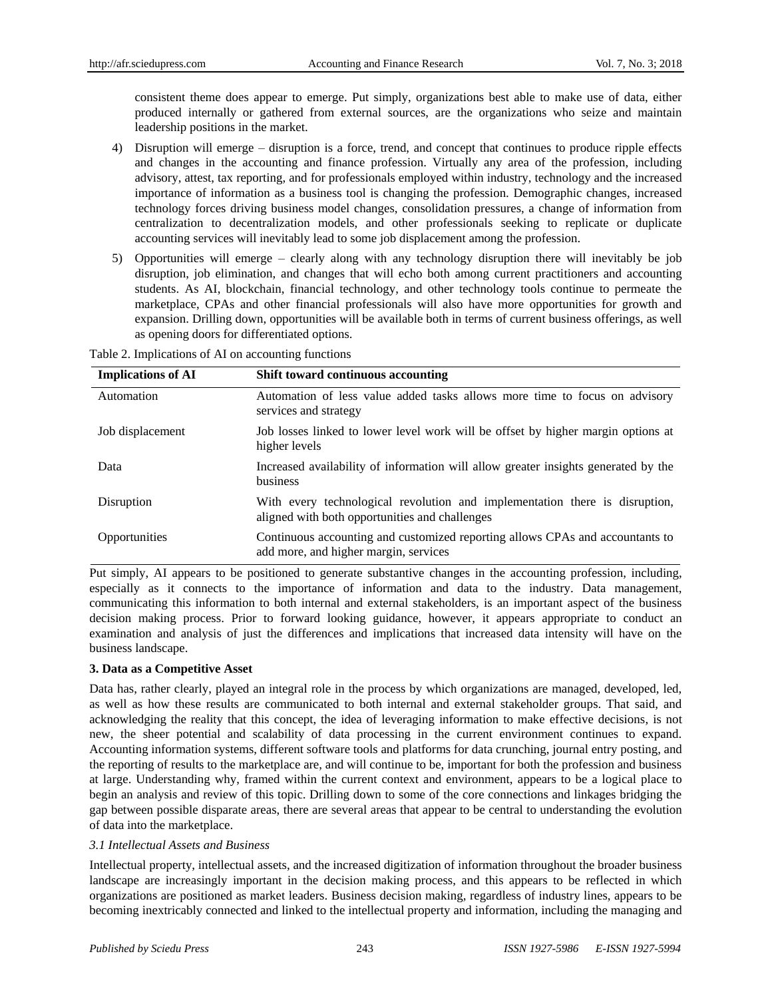consistent theme does appear to emerge. Put simply, organizations best able to make use of data, either produced internally or gathered from external sources, are the organizations who seize and maintain leadership positions in the market.

- 4) Disruption will emerge disruption is a force, trend, and concept that continues to produce ripple effects and changes in the accounting and finance profession. Virtually any area of the profession, including advisory, attest, tax reporting, and for professionals employed within industry, technology and the increased importance of information as a business tool is changing the profession. Demographic changes, increased technology forces driving business model changes, consolidation pressures, a change of information from centralization to decentralization models, and other professionals seeking to replicate or duplicate accounting services will inevitably lead to some job displacement among the profession.
- 5) Opportunities will emerge clearly along with any technology disruption there will inevitably be job disruption, job elimination, and changes that will echo both among current practitioners and accounting students. As AI, blockchain, financial technology, and other technology tools continue to permeate the marketplace, CPAs and other financial professionals will also have more opportunities for growth and expansion. Drilling down, opportunities will be available both in terms of current business offerings, as well as opening doors for differentiated options.

| <b>Implications of AI</b> | Shift toward continuous accounting                                                                                            |
|---------------------------|-------------------------------------------------------------------------------------------------------------------------------|
| Automation                | Automation of less value added tasks allows more time to focus on advisory<br>services and strategy                           |
| Job displacement          | Job losses linked to lower level work will be offset by higher margin options at<br>higher levels                             |
| Data                      | Increased availability of information will allow greater insights generated by the<br>business                                |
| Disruption                | With every technological revolution and implementation there is disruption,<br>aligned with both opportunities and challenges |
| Opportunities             | Continuous accounting and customized reporting allows CPAs and accountants to<br>add more, and higher margin, services        |

Table 2. Implications of AI on accounting functions

Put simply, AI appears to be positioned to generate substantive changes in the accounting profession, including, especially as it connects to the importance of information and data to the industry. Data management, communicating this information to both internal and external stakeholders, is an important aspect of the business decision making process. Prior to forward looking guidance, however, it appears appropriate to conduct an examination and analysis of just the differences and implications that increased data intensity will have on the business landscape.

#### **3. Data as a Competitive Asset**

Data has, rather clearly, played an integral role in the process by which organizations are managed, developed, led, as well as how these results are communicated to both internal and external stakeholder groups. That said, and acknowledging the reality that this concept, the idea of leveraging information to make effective decisions, is not new, the sheer potential and scalability of data processing in the current environment continues to expand. Accounting information systems, different software tools and platforms for data crunching, journal entry posting, and the reporting of results to the marketplace are, and will continue to be, important for both the profession and business at large. Understanding why, framed within the current context and environment, appears to be a logical place to begin an analysis and review of this topic. Drilling down to some of the core connections and linkages bridging the gap between possible disparate areas, there are several areas that appear to be central to understanding the evolution of data into the marketplace.

#### *3.1 Intellectual Assets and Business*

Intellectual property, intellectual assets, and the increased digitization of information throughout the broader business landscape are increasingly important in the decision making process, and this appears to be reflected in which organizations are positioned as market leaders. Business decision making, regardless of industry lines, appears to be becoming inextricably connected and linked to the intellectual property and information, including the managing and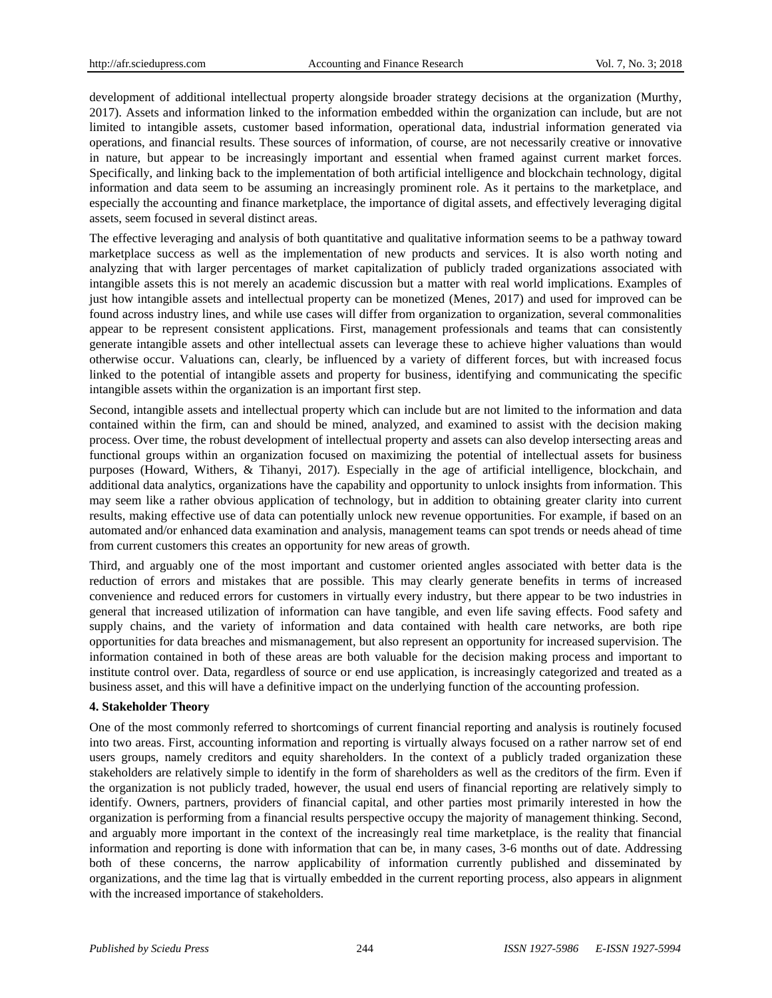development of additional intellectual property alongside broader strategy decisions at the organization (Murthy, 2017). Assets and information linked to the information embedded within the organization can include, but are not limited to intangible assets, customer based information, operational data, industrial information generated via operations, and financial results. These sources of information, of course, are not necessarily creative or innovative in nature, but appear to be increasingly important and essential when framed against current market forces. Specifically, and linking back to the implementation of both artificial intelligence and blockchain technology, digital information and data seem to be assuming an increasingly prominent role. As it pertains to the marketplace, and especially the accounting and finance marketplace, the importance of digital assets, and effectively leveraging digital assets, seem focused in several distinct areas.

The effective leveraging and analysis of both quantitative and qualitative information seems to be a pathway toward marketplace success as well as the implementation of new products and services. It is also worth noting and analyzing that with larger percentages of market capitalization of publicly traded organizations associated with intangible assets this is not merely an academic discussion but a matter with real world implications. Examples of just how intangible assets and intellectual property can be monetized (Menes, 2017) and used for improved can be found across industry lines, and while use cases will differ from organization to organization, several commonalities appear to be represent consistent applications. First, management professionals and teams that can consistently generate intangible assets and other intellectual assets can leverage these to achieve higher valuations than would otherwise occur. Valuations can, clearly, be influenced by a variety of different forces, but with increased focus linked to the potential of intangible assets and property for business, identifying and communicating the specific intangible assets within the organization is an important first step.

Second, intangible assets and intellectual property which can include but are not limited to the information and data contained within the firm, can and should be mined, analyzed, and examined to assist with the decision making process. Over time, the robust development of intellectual property and assets can also develop intersecting areas and functional groups within an organization focused on maximizing the potential of intellectual assets for business purposes (Howard, Withers, & Tihanyi, 2017). Especially in the age of artificial intelligence, blockchain, and additional data analytics, organizations have the capability and opportunity to unlock insights from information. This may seem like a rather obvious application of technology, but in addition to obtaining greater clarity into current results, making effective use of data can potentially unlock new revenue opportunities. For example, if based on an automated and/or enhanced data examination and analysis, management teams can spot trends or needs ahead of time from current customers this creates an opportunity for new areas of growth.

Third, and arguably one of the most important and customer oriented angles associated with better data is the reduction of errors and mistakes that are possible. This may clearly generate benefits in terms of increased convenience and reduced errors for customers in virtually every industry, but there appear to be two industries in general that increased utilization of information can have tangible, and even life saving effects. Food safety and supply chains, and the variety of information and data contained with health care networks, are both ripe opportunities for data breaches and mismanagement, but also represent an opportunity for increased supervision. The information contained in both of these areas are both valuable for the decision making process and important to institute control over. Data, regardless of source or end use application, is increasingly categorized and treated as a business asset, and this will have a definitive impact on the underlying function of the accounting profession.

#### **4. Stakeholder Theory**

One of the most commonly referred to shortcomings of current financial reporting and analysis is routinely focused into two areas. First, accounting information and reporting is virtually always focused on a rather narrow set of end users groups, namely creditors and equity shareholders. In the context of a publicly traded organization these stakeholders are relatively simple to identify in the form of shareholders as well as the creditors of the firm. Even if the organization is not publicly traded, however, the usual end users of financial reporting are relatively simply to identify. Owners, partners, providers of financial capital, and other parties most primarily interested in how the organization is performing from a financial results perspective occupy the majority of management thinking. Second, and arguably more important in the context of the increasingly real time marketplace, is the reality that financial information and reporting is done with information that can be, in many cases, 3-6 months out of date. Addressing both of these concerns, the narrow applicability of information currently published and disseminated by organizations, and the time lag that is virtually embedded in the current reporting process, also appears in alignment with the increased importance of stakeholders.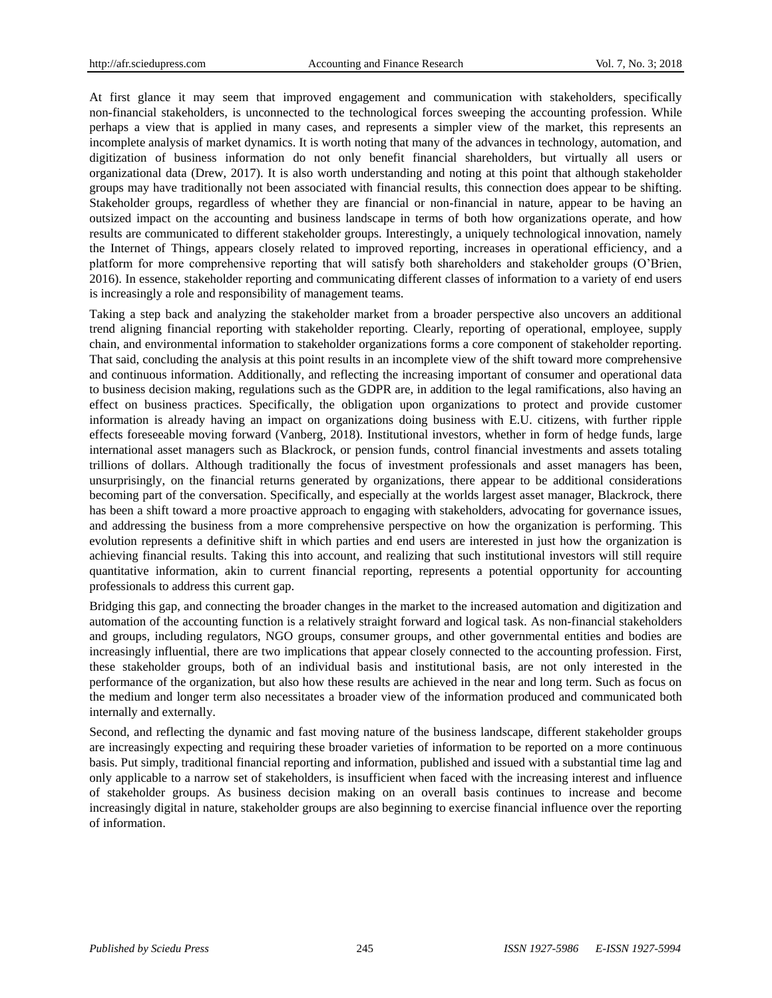At first glance it may seem that improved engagement and communication with stakeholders, specifically non-financial stakeholders, is unconnected to the technological forces sweeping the accounting profession. While perhaps a view that is applied in many cases, and represents a simpler view of the market, this represents an incomplete analysis of market dynamics. It is worth noting that many of the advances in technology, automation, and digitization of business information do not only benefit financial shareholders, but virtually all users or organizational data (Drew, 2017). It is also worth understanding and noting at this point that although stakeholder groups may have traditionally not been associated with financial results, this connection does appear to be shifting. Stakeholder groups, regardless of whether they are financial or non-financial in nature, appear to be having an outsized impact on the accounting and business landscape in terms of both how organizations operate, and how results are communicated to different stakeholder groups. Interestingly, a uniquely technological innovation, namely the Internet of Things, appears closely related to improved reporting, increases in operational efficiency, and a platform for more comprehensive reporting that will satisfy both shareholders and stakeholder groups (O'Brien, 2016). In essence, stakeholder reporting and communicating different classes of information to a variety of end users is increasingly a role and responsibility of management teams.

Taking a step back and analyzing the stakeholder market from a broader perspective also uncovers an additional trend aligning financial reporting with stakeholder reporting. Clearly, reporting of operational, employee, supply chain, and environmental information to stakeholder organizations forms a core component of stakeholder reporting. That said, concluding the analysis at this point results in an incomplete view of the shift toward more comprehensive and continuous information. Additionally, and reflecting the increasing important of consumer and operational data to business decision making, regulations such as the GDPR are, in addition to the legal ramifications, also having an effect on business practices. Specifically, the obligation upon organizations to protect and provide customer information is already having an impact on organizations doing business with E.U. citizens, with further ripple effects foreseeable moving forward (Vanberg, 2018). Institutional investors, whether in form of hedge funds, large international asset managers such as Blackrock, or pension funds, control financial investments and assets totaling trillions of dollars. Although traditionally the focus of investment professionals and asset managers has been, unsurprisingly, on the financial returns generated by organizations, there appear to be additional considerations becoming part of the conversation. Specifically, and especially at the worlds largest asset manager, Blackrock, there has been a shift toward a more proactive approach to engaging with stakeholders, advocating for governance issues, and addressing the business from a more comprehensive perspective on how the organization is performing. This evolution represents a definitive shift in which parties and end users are interested in just how the organization is achieving financial results. Taking this into account, and realizing that such institutional investors will still require quantitative information, akin to current financial reporting, represents a potential opportunity for accounting professionals to address this current gap.

Bridging this gap, and connecting the broader changes in the market to the increased automation and digitization and automation of the accounting function is a relatively straight forward and logical task. As non-financial stakeholders and groups, including regulators, NGO groups, consumer groups, and other governmental entities and bodies are increasingly influential, there are two implications that appear closely connected to the accounting profession. First, these stakeholder groups, both of an individual basis and institutional basis, are not only interested in the performance of the organization, but also how these results are achieved in the near and long term. Such as focus on the medium and longer term also necessitates a broader view of the information produced and communicated both internally and externally.

Second, and reflecting the dynamic and fast moving nature of the business landscape, different stakeholder groups are increasingly expecting and requiring these broader varieties of information to be reported on a more continuous basis. Put simply, traditional financial reporting and information, published and issued with a substantial time lag and only applicable to a narrow set of stakeholders, is insufficient when faced with the increasing interest and influence of stakeholder groups. As business decision making on an overall basis continues to increase and become increasingly digital in nature, stakeholder groups are also beginning to exercise financial influence over the reporting of information.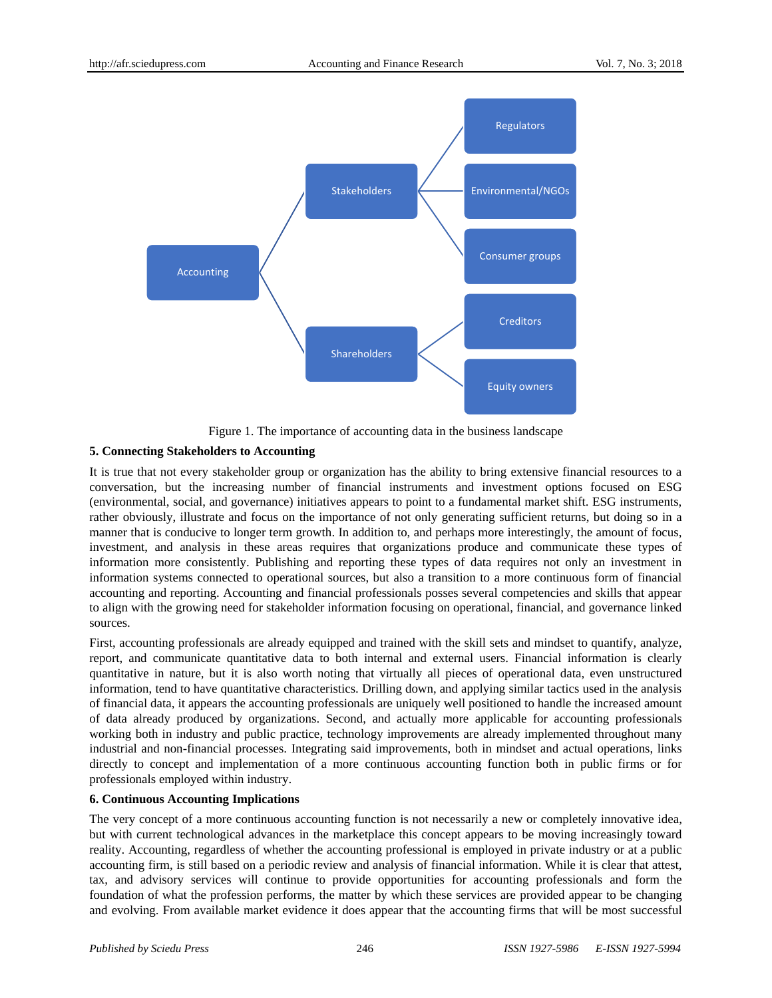

Figure 1. The importance of accounting data in the business landscape

# **5. Connecting Stakeholders to Accounting**

It is true that not every stakeholder group or organization has the ability to bring extensive financial resources to a conversation, but the increasing number of financial instruments and investment options focused on ESG (environmental, social, and governance) initiatives appears to point to a fundamental market shift. ESG instruments, rather obviously, illustrate and focus on the importance of not only generating sufficient returns, but doing so in a manner that is conducive to longer term growth. In addition to, and perhaps more interestingly, the amount of focus, investment, and analysis in these areas requires that organizations produce and communicate these types of information more consistently. Publishing and reporting these types of data requires not only an investment in information systems connected to operational sources, but also a transition to a more continuous form of financial accounting and reporting. Accounting and financial professionals posses several competencies and skills that appear to align with the growing need for stakeholder information focusing on operational, financial, and governance linked sources.

First, accounting professionals are already equipped and trained with the skill sets and mindset to quantify, analyze, report, and communicate quantitative data to both internal and external users. Financial information is clearly quantitative in nature, but it is also worth noting that virtually all pieces of operational data, even unstructured information, tend to have quantitative characteristics. Drilling down, and applying similar tactics used in the analysis of financial data, it appears the accounting professionals are uniquely well positioned to handle the increased amount of data already produced by organizations. Second, and actually more applicable for accounting professionals working both in industry and public practice, technology improvements are already implemented throughout many industrial and non-financial processes. Integrating said improvements, both in mindset and actual operations, links directly to concept and implementation of a more continuous accounting function both in public firms or for professionals employed within industry.

# **6. Continuous Accounting Implications**

The very concept of a more continuous accounting function is not necessarily a new or completely innovative idea, but with current technological advances in the marketplace this concept appears to be moving increasingly toward reality. Accounting, regardless of whether the accounting professional is employed in private industry or at a public accounting firm, is still based on a periodic review and analysis of financial information. While it is clear that attest, tax, and advisory services will continue to provide opportunities for accounting professionals and form the foundation of what the profession performs, the matter by which these services are provided appear to be changing and evolving. From available market evidence it does appear that the accounting firms that will be most successful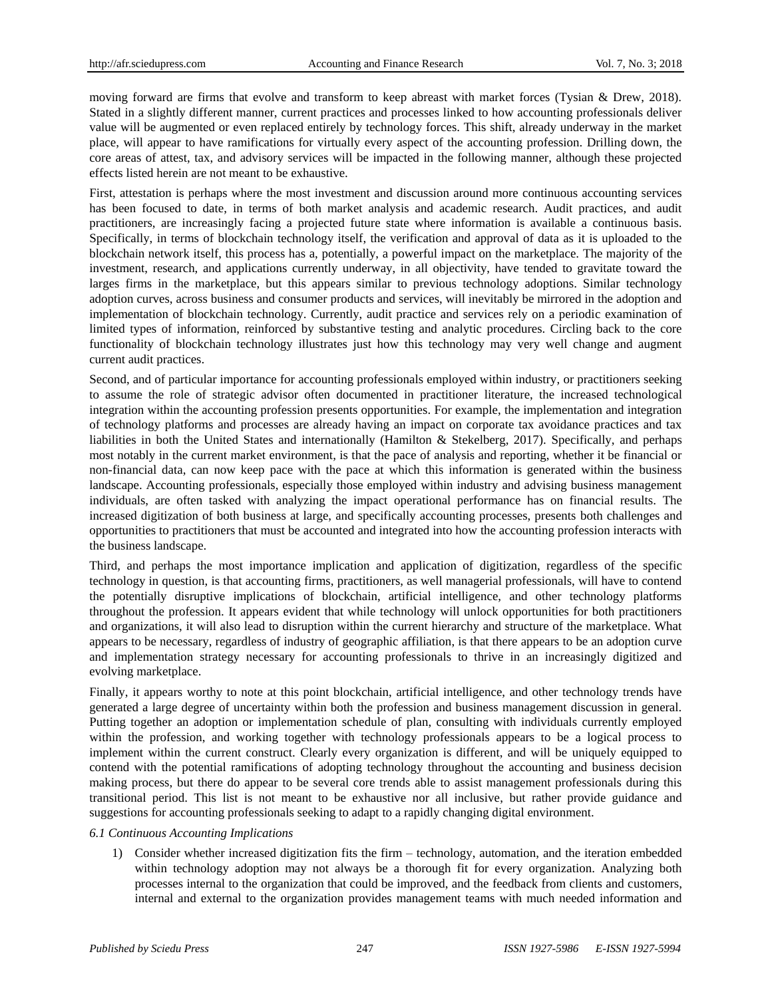moving forward are firms that evolve and transform to keep abreast with market forces (Tysian & Drew, 2018). Stated in a slightly different manner, current practices and processes linked to how accounting professionals deliver value will be augmented or even replaced entirely by technology forces. This shift, already underway in the market place, will appear to have ramifications for virtually every aspect of the accounting profession. Drilling down, the core areas of attest, tax, and advisory services will be impacted in the following manner, although these projected effects listed herein are not meant to be exhaustive.

First, attestation is perhaps where the most investment and discussion around more continuous accounting services has been focused to date, in terms of both market analysis and academic research. Audit practices, and audit practitioners, are increasingly facing a projected future state where information is available a continuous basis. Specifically, in terms of blockchain technology itself, the verification and approval of data as it is uploaded to the blockchain network itself, this process has a, potentially, a powerful impact on the marketplace. The majority of the investment, research, and applications currently underway, in all objectivity, have tended to gravitate toward the larges firms in the marketplace, but this appears similar to previous technology adoptions. Similar technology adoption curves, across business and consumer products and services, will inevitably be mirrored in the adoption and implementation of blockchain technology. Currently, audit practice and services rely on a periodic examination of limited types of information, reinforced by substantive testing and analytic procedures. Circling back to the core functionality of blockchain technology illustrates just how this technology may very well change and augment current audit practices.

Second, and of particular importance for accounting professionals employed within industry, or practitioners seeking to assume the role of strategic advisor often documented in practitioner literature, the increased technological integration within the accounting profession presents opportunities. For example, the implementation and integration of technology platforms and processes are already having an impact on corporate tax avoidance practices and tax liabilities in both the United States and internationally (Hamilton & Stekelberg, 2017). Specifically, and perhaps most notably in the current market environment, is that the pace of analysis and reporting, whether it be financial or non-financial data, can now keep pace with the pace at which this information is generated within the business landscape. Accounting professionals, especially those employed within industry and advising business management individuals, are often tasked with analyzing the impact operational performance has on financial results. The increased digitization of both business at large, and specifically accounting processes, presents both challenges and opportunities to practitioners that must be accounted and integrated into how the accounting profession interacts with the business landscape.

Third, and perhaps the most importance implication and application of digitization, regardless of the specific technology in question, is that accounting firms, practitioners, as well managerial professionals, will have to contend the potentially disruptive implications of blockchain, artificial intelligence, and other technology platforms throughout the profession. It appears evident that while technology will unlock opportunities for both practitioners and organizations, it will also lead to disruption within the current hierarchy and structure of the marketplace. What appears to be necessary, regardless of industry of geographic affiliation, is that there appears to be an adoption curve and implementation strategy necessary for accounting professionals to thrive in an increasingly digitized and evolving marketplace.

Finally, it appears worthy to note at this point blockchain, artificial intelligence, and other technology trends have generated a large degree of uncertainty within both the profession and business management discussion in general. Putting together an adoption or implementation schedule of plan, consulting with individuals currently employed within the profession, and working together with technology professionals appears to be a logical process to implement within the current construct. Clearly every organization is different, and will be uniquely equipped to contend with the potential ramifications of adopting technology throughout the accounting and business decision making process, but there do appear to be several core trends able to assist management professionals during this transitional period. This list is not meant to be exhaustive nor all inclusive, but rather provide guidance and suggestions for accounting professionals seeking to adapt to a rapidly changing digital environment.

#### *6.1 Continuous Accounting Implications*

1) Consider whether increased digitization fits the firm – technology, automation, and the iteration embedded within technology adoption may not always be a thorough fit for every organization. Analyzing both processes internal to the organization that could be improved, and the feedback from clients and customers, internal and external to the organization provides management teams with much needed information and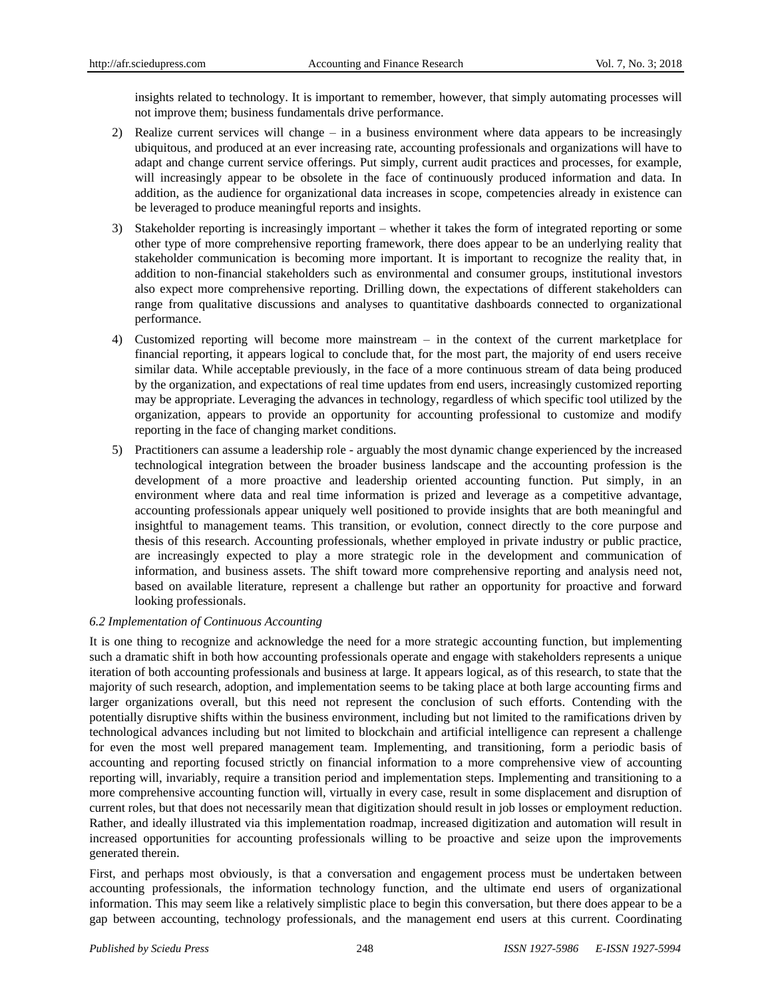insights related to technology. It is important to remember, however, that simply automating processes will not improve them; business fundamentals drive performance.

- 2) Realize current services will change in a business environment where data appears to be increasingly ubiquitous, and produced at an ever increasing rate, accounting professionals and organizations will have to adapt and change current service offerings. Put simply, current audit practices and processes, for example, will increasingly appear to be obsolete in the face of continuously produced information and data. In addition, as the audience for organizational data increases in scope, competencies already in existence can be leveraged to produce meaningful reports and insights.
- 3) Stakeholder reporting is increasingly important whether it takes the form of integrated reporting or some other type of more comprehensive reporting framework, there does appear to be an underlying reality that stakeholder communication is becoming more important. It is important to recognize the reality that, in addition to non-financial stakeholders such as environmental and consumer groups, institutional investors also expect more comprehensive reporting. Drilling down, the expectations of different stakeholders can range from qualitative discussions and analyses to quantitative dashboards connected to organizational performance.
- 4) Customized reporting will become more mainstream in the context of the current marketplace for financial reporting, it appears logical to conclude that, for the most part, the majority of end users receive similar data. While acceptable previously, in the face of a more continuous stream of data being produced by the organization, and expectations of real time updates from end users, increasingly customized reporting may be appropriate. Leveraging the advances in technology, regardless of which specific tool utilized by the organization, appears to provide an opportunity for accounting professional to customize and modify reporting in the face of changing market conditions.
- 5) Practitioners can assume a leadership role arguably the most dynamic change experienced by the increased technological integration between the broader business landscape and the accounting profession is the development of a more proactive and leadership oriented accounting function. Put simply, in an environment where data and real time information is prized and leverage as a competitive advantage, accounting professionals appear uniquely well positioned to provide insights that are both meaningful and insightful to management teams. This transition, or evolution, connect directly to the core purpose and thesis of this research. Accounting professionals, whether employed in private industry or public practice, are increasingly expected to play a more strategic role in the development and communication of information, and business assets. The shift toward more comprehensive reporting and analysis need not, based on available literature, represent a challenge but rather an opportunity for proactive and forward looking professionals.

#### *6.2 Implementation of Continuous Accounting*

It is one thing to recognize and acknowledge the need for a more strategic accounting function, but implementing such a dramatic shift in both how accounting professionals operate and engage with stakeholders represents a unique iteration of both accounting professionals and business at large. It appears logical, as of this research, to state that the majority of such research, adoption, and implementation seems to be taking place at both large accounting firms and larger organizations overall, but this need not represent the conclusion of such efforts. Contending with the potentially disruptive shifts within the business environment, including but not limited to the ramifications driven by technological advances including but not limited to blockchain and artificial intelligence can represent a challenge for even the most well prepared management team. Implementing, and transitioning, form a periodic basis of accounting and reporting focused strictly on financial information to a more comprehensive view of accounting reporting will, invariably, require a transition period and implementation steps. Implementing and transitioning to a more comprehensive accounting function will, virtually in every case, result in some displacement and disruption of current roles, but that does not necessarily mean that digitization should result in job losses or employment reduction. Rather, and ideally illustrated via this implementation roadmap, increased digitization and automation will result in increased opportunities for accounting professionals willing to be proactive and seize upon the improvements generated therein.

First, and perhaps most obviously, is that a conversation and engagement process must be undertaken between accounting professionals, the information technology function, and the ultimate end users of organizational information. This may seem like a relatively simplistic place to begin this conversation, but there does appear to be a gap between accounting, technology professionals, and the management end users at this current. Coordinating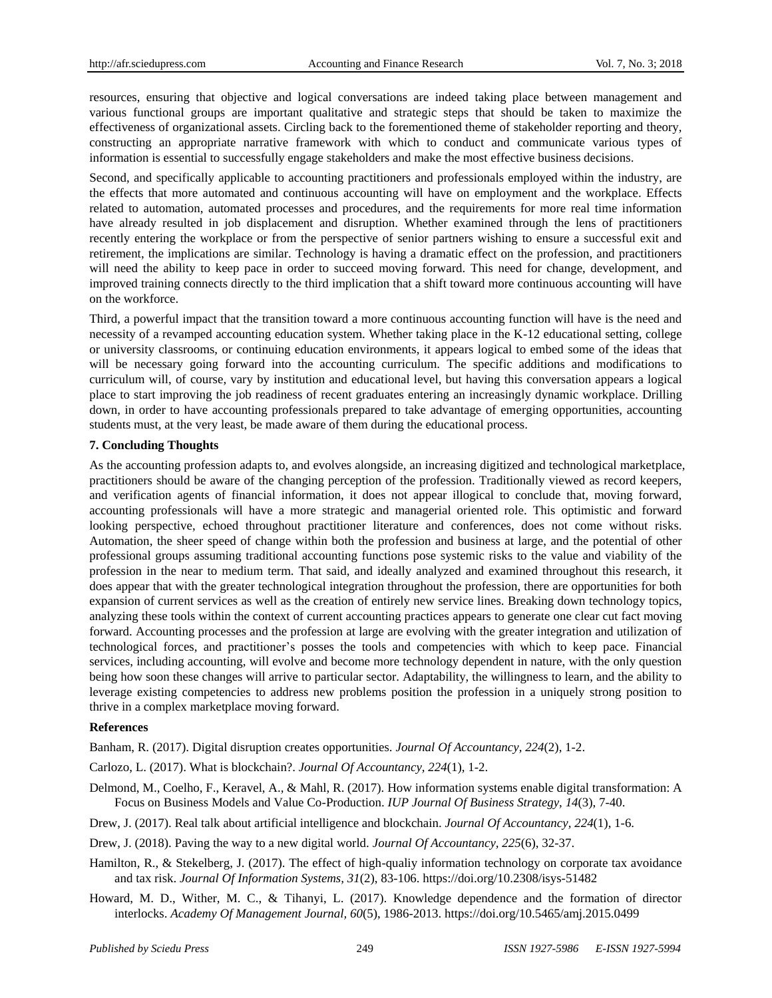resources, ensuring that objective and logical conversations are indeed taking place between management and various functional groups are important qualitative and strategic steps that should be taken to maximize the effectiveness of organizational assets. Circling back to the forementioned theme of stakeholder reporting and theory, constructing an appropriate narrative framework with which to conduct and communicate various types of information is essential to successfully engage stakeholders and make the most effective business decisions.

Second, and specifically applicable to accounting practitioners and professionals employed within the industry, are the effects that more automated and continuous accounting will have on employment and the workplace. Effects related to automation, automated processes and procedures, and the requirements for more real time information have already resulted in job displacement and disruption. Whether examined through the lens of practitioners recently entering the workplace or from the perspective of senior partners wishing to ensure a successful exit and retirement, the implications are similar. Technology is having a dramatic effect on the profession, and practitioners will need the ability to keep pace in order to succeed moving forward. This need for change, development, and improved training connects directly to the third implication that a shift toward more continuous accounting will have on the workforce.

Third, a powerful impact that the transition toward a more continuous accounting function will have is the need and necessity of a revamped accounting education system. Whether taking place in the K-12 educational setting, college or university classrooms, or continuing education environments, it appears logical to embed some of the ideas that will be necessary going forward into the accounting curriculum. The specific additions and modifications to curriculum will, of course, vary by institution and educational level, but having this conversation appears a logical place to start improving the job readiness of recent graduates entering an increasingly dynamic workplace. Drilling down, in order to have accounting professionals prepared to take advantage of emerging opportunities, accounting students must, at the very least, be made aware of them during the educational process.

## **7. Concluding Thoughts**

As the accounting profession adapts to, and evolves alongside, an increasing digitized and technological marketplace, practitioners should be aware of the changing perception of the profession. Traditionally viewed as record keepers, and verification agents of financial information, it does not appear illogical to conclude that, moving forward, accounting professionals will have a more strategic and managerial oriented role. This optimistic and forward looking perspective, echoed throughout practitioner literature and conferences, does not come without risks. Automation, the sheer speed of change within both the profession and business at large, and the potential of other professional groups assuming traditional accounting functions pose systemic risks to the value and viability of the profession in the near to medium term. That said, and ideally analyzed and examined throughout this research, it does appear that with the greater technological integration throughout the profession, there are opportunities for both expansion of current services as well as the creation of entirely new service lines. Breaking down technology topics, analyzing these tools within the context of current accounting practices appears to generate one clear cut fact moving forward. Accounting processes and the profession at large are evolving with the greater integration and utilization of technological forces, and practitioner's posses the tools and competencies with which to keep pace. Financial services, including accounting, will evolve and become more technology dependent in nature, with the only question being how soon these changes will arrive to particular sector. Adaptability, the willingness to learn, and the ability to leverage existing competencies to address new problems position the profession in a uniquely strong position to thrive in a complex marketplace moving forward.

#### **References**

Banham, R. (2017). Digital disruption creates opportunities. *Journal Of Accountancy, 224*(2), 1-2.

- Carlozo, L. (2017). What is blockchain?. *Journal Of Accountancy, 224*(1), 1-2.
- Delmond, M., Coelho, F., Keravel, A., & Mahl, R. (2017). How information systems enable digital transformation: A Focus on Business Models and Value Co-Production. *IUP Journal Of Business Strategy, 14*(3), 7-40.
- Drew, J. (2017). Real talk about artificial intelligence and blockchain. *Journal Of Accountancy, 224*(1), 1-6.
- Drew, J. (2018). Paving the way to a new digital world. *Journal Of Accountancy, 225*(6), 32-37.
- Hamilton, R., & Stekelberg, J. (2017). The effect of high-qualiy information technology on corporate tax avoidance and tax risk. *Journal Of Information Systems, 31*(2), 83-106[. https://doi.org/10.2308/isys-51482](https://doi.org/10.2308/isys-51482)
- Howard, M. D., Wither, M. C., & Tihanyi, L. (2017). Knowledge dependence and the formation of director interlocks. *Academy Of Management Journal, 60*(5), 1986-2013.<https://doi.org/10.5465/amj.2015.0499>